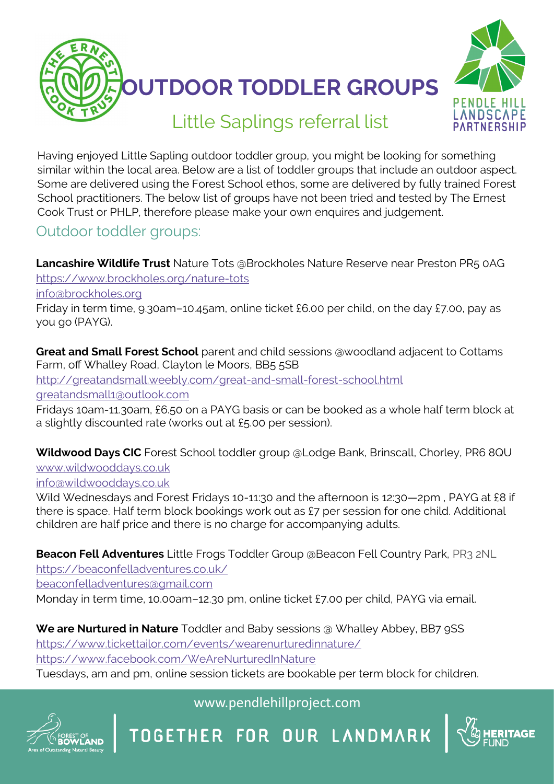



# Little Saplings referral list

Having enjoyed Little Sapling outdoor toddler group, you might be looking for something similar within the local area. Below are a list of toddler groups that include an outdoor aspect. Some are delivered using the Forest School ethos, some are delivered by fully trained Forest School practitioners. The below list of groups have not been tried and tested by The Ernest Cook Trust or PHLP, therefore please make your own enquires and judgement.

## Outdoor toddler groups:

**Lancashire Wildlife Trust** Nature Tots @Brockholes Nature Reserve near Preston PR5 0AG [https://www.brockholes.org/nature](https://www.brockholes.org/nature-tots)-tots

[info@brockholes.org](mailto:info@brockholes.org)

Friday in term time, 9.30am–10.45am, online ticket £6.00 per child, on the day £7.00, pay as you go (PAYG).

**Great and Small Forest School** parent and child sessions @woodland adjacent to Cottams Farm, off Whalley Road, Clayton le Moors, BB5 5SB

[http://greatandsmall.weebly.com/great](http://greatandsmall.weebly.com/great-and-small-forest-school.html)-and-small-forest-school.html greatandsmall1@outlook.com

Fridays 10am-11.30am, £6.50 on a PAYG basis or can be booked as a whole half term block at a slightly discounted rate (works out at £5.00 per session).

**Wildwood Days CIC** Forest School toddler group @Lodge Bank, Brinscall, Chorley, PR6 8QU [www.wildwooddays.co.uk](http://www.wildwooddays.co.uk/)

info@wildwooddays.co.uk

Wild Wednesdays and Forest Fridays 10-11:30 and the afternoon is 12:30–2pm, PAYG at £8 if there is space. Half term block bookings work out as £7 per session for one child. Additional children are half price and there is no charge for accompanying adults.

**Beacon Fell Adventures** Little Frogs Toddler Group @Beacon Fell Country Park, PR3 2NL

https://beaconfelladventures.co.uk/

beaconfelladventures@gmail.com

Monday in term time, 10.00am–12.30 pm, online ticket £7.00 per child, PAYG via email.

**We are Nurtured in Nature** Toddler and Baby sessions @ Whalley Abbey, BB7 9SS https://www.tickettailor.com/events/wearenurturedinnature/ https://www.facebook.com/WeAreNurturedInNature

Tuesdays, am and pm, online session tickets are bookable per term block for children.



### www.pendlehillproject.com

OGETHER FOR OUR LANDMARK